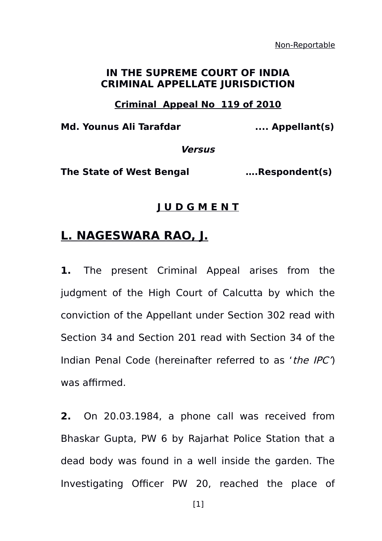Non-Reportable

## **IN THE SUPREME COURT OF INDIA CRIMINAL APPELLATE JURISDICTION**

## **Criminal Appeal No 119 of 2010**

**Md. Younus Ali Tarafdar .... Appellant(s)**

**Versus**

**The State of West Bengal ….Respondent(s)**

## **J U D G M E N T**

## **L. NAGESWARA RAO, J.**

**1.** The present Criminal Appeal arises from the judgment of the High Court of Calcutta by which the conviction of the Appellant under Section 302 read with Section 34 and Section 201 read with Section 34 of the Indian Penal Code (hereinafter referred to as 'the IPC') was affirmed.

**2.** On 20.03.1984, a phone call was received from Bhaskar Gupta, PW 6 by Rajarhat Police Station that a dead body was found in a well inside the garden. The Investigating Officer PW 20, reached the place of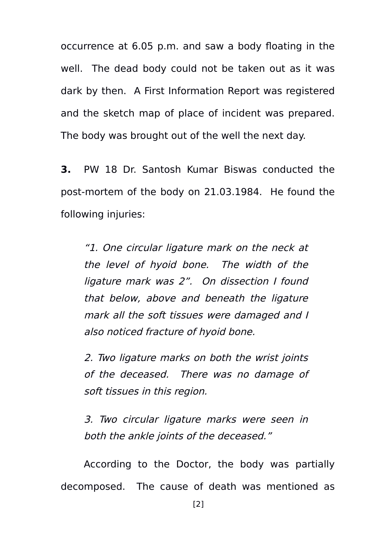occurrence at 6.05 p.m. and saw a body floating in the well. The dead body could not be taken out as it was dark by then. A First Information Report was registered and the sketch map of place of incident was prepared. The body was brought out of the well the next day.

**3.** PW 18 Dr. Santosh Kumar Biswas conducted the post-mortem of the body on 21.03.1984. He found the following injuries:

"1. One circular ligature mark on the neck at the level of hyoid bone. The width of the ligature mark was 2". On dissection I found that below, above and beneath the ligature mark all the soft tissues were damaged and I also noticed fracture of hyoid bone.

2. Two ligature marks on both the wrist joints of the deceased. There was no damage of soft tissues in this region.

3. Two circular ligature marks were seen in both the ankle joints of the deceased."

According to the Doctor, the body was partially decomposed. The cause of death was mentioned as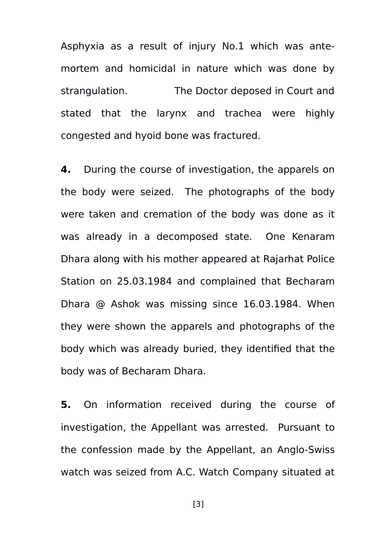Asphyxia as a result of injury No.1 which was antemortem and homicidal in nature which was done by strangulation. The Doctor deposed in Court and stated that the larynx and trachea were highly congested and hyoid bone was fractured.

**4.** During the course of investigation, the apparels on the body were seized. The photographs of the body were taken and cremation of the body was done as it was already in a decomposed state. One Kenaram Dhara along with his mother appeared at Rajarhat Police Station on 25.03.1984 and complained that Becharam Dhara @ Ashok was missing since 16.03.1984. When they were shown the apparels and photographs of the body which was already buried, they identified that the body was of Becharam Dhara.

**5.** On information received during the course of investigation, the Appellant was arrested. Pursuant to the confession made by the Appellant, an Anglo-Swiss watch was seized from A.C. Watch Company situated at

[3]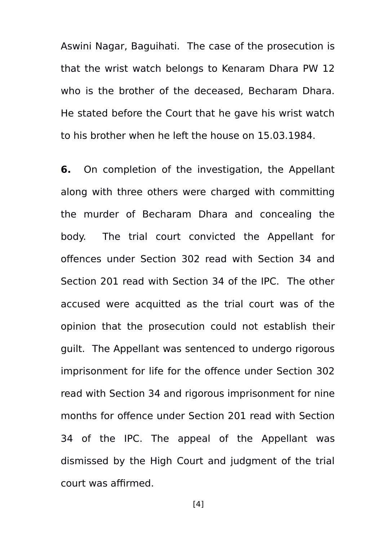Aswini Nagar, Baguihati. The case of the prosecution is that the wrist watch belongs to Kenaram Dhara PW 12 who is the brother of the deceased, Becharam Dhara. He stated before the Court that he gave his wrist watch to his brother when he left the house on 15.03.1984.

**6.** On completion of the investigation, the Appellant along with three others were charged with committing the murder of Becharam Dhara and concealing the body. The trial court convicted the Appellant for offences under Section 302 read with Section 34 and Section 201 read with Section 34 of the IPC. The other accused were acquitted as the trial court was of the opinion that the prosecution could not establish their guilt. The Appellant was sentenced to undergo rigorous imprisonment for life for the offence under Section 302 read with Section 34 and rigorous imprisonment for nine months for offence under Section 201 read with Section 34 of the IPC. The appeal of the Appellant was dismissed by the High Court and judgment of the trial court was affirmed.

[4]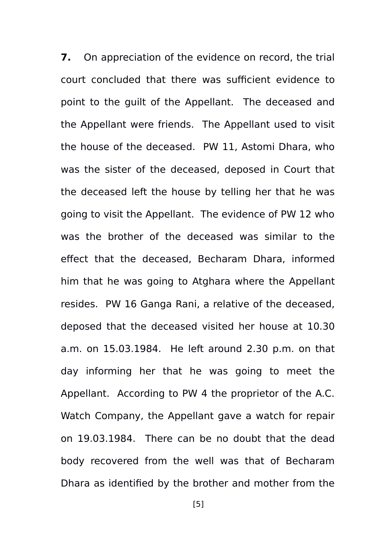**7.** On appreciation of the evidence on record, the trial court concluded that there was sufficient evidence to point to the guilt of the Appellant. The deceased and the Appellant were friends. The Appellant used to visit the house of the deceased. PW 11, Astomi Dhara, who was the sister of the deceased, deposed in Court that the deceased left the house by telling her that he was going to visit the Appellant. The evidence of PW 12 who was the brother of the deceased was similar to the effect that the deceased, Becharam Dhara, informed him that he was going to Atghara where the Appellant resides. PW 16 Ganga Rani, a relative of the deceased, deposed that the deceased visited her house at 10.30 a.m. on 15.03.1984. He left around 2.30 p.m. on that day informing her that he was going to meet the Appellant. According to PW 4 the proprietor of the A.C. Watch Company, the Appellant gave a watch for repair on 19.03.1984. There can be no doubt that the dead body recovered from the well was that of Becharam Dhara as identified by the brother and mother from the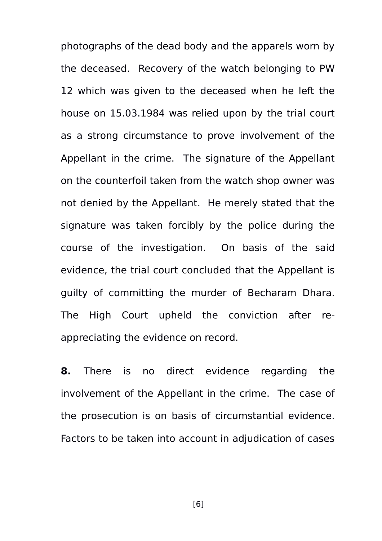photographs of the dead body and the apparels worn by the deceased. Recovery of the watch belonging to PW 12 which was given to the deceased when he left the house on 15.03.1984 was relied upon by the trial court as a strong circumstance to prove involvement of the Appellant in the crime. The signature of the Appellant on the counterfoil taken from the watch shop owner was not denied by the Appellant. He merely stated that the signature was taken forcibly by the police during the course of the investigation. On basis of the said evidence, the trial court concluded that the Appellant is guilty of committing the murder of Becharam Dhara. The High Court upheld the conviction after reappreciating the evidence on record.

**8.** There is no direct evidence regarding the involvement of the Appellant in the crime. The case of the prosecution is on basis of circumstantial evidence. Factors to be taken into account in adjudication of cases

[6]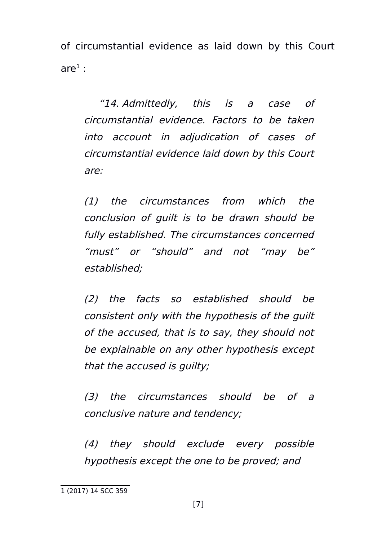of circumstantial evidence as laid down by this Court are $^1$  $^1$  :

 "14. Admittedly, this is <sup>a</sup> case of circumstantial evidence. Factors to be taken into account in adjudication of cases of circumstantial evidence laid down by this Court are:

(1) the circumstances from which the conclusion of guilt is to be drawn should be fully established. The circumstances concerned "must" or "should" and not "may be" established;

(2) the facts so established should be consistent only with the hypothesis of the guilt of the accused, that is to say, they should not be explainable on any other hypothesis except that the accused is guilty;

(3) the circumstances should be of <sup>a</sup> conclusive nature and tendency;

(4) they should exclude every possible hypothesis except the one to be proved; and

<span id="page-6-0"></span><sup>1 (2017) 14</sup> SCC 359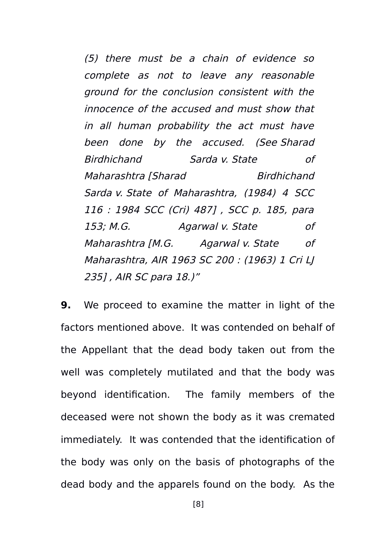(5) there must be <sup>a</sup> chain of evidence so complete as not to leave any reasonable ground for the conclusion consistent with the innocence of the accused and must show that in all human probability the act must have been done by the accused. (See Sharad Birdhichand Sarda v. State of Maharashtra [Sharad Birdhichand Sarda v. State of Maharashtra, (1984) 4 SCC 116 : 1984 SCC (Cri) 487] , SCC p. 185, para 153; M.G. Agarwal v. State of Maharashtra [M.G. Agarwal v. State of Maharashtra, AIR 1963 SC 200 : (1963) 1 Cri LJ 235] , AIR SC para 18.)"

**9.** We proceed to examine the matter in light of the factors mentioned above. It was contended on behalf of the Appellant that the dead body taken out from the well was completely mutilated and that the body was beyond identification. The family members of the deceased were not shown the body as it was cremated immediately. It was contended that the identification of the body was only on the basis of photographs of the dead body and the apparels found on the body. As the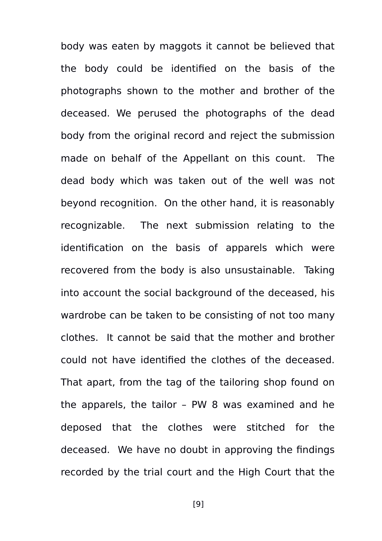body was eaten by maggots it cannot be believed that the body could be identified on the basis of the photographs shown to the mother and brother of the deceased. We perused the photographs of the dead body from the original record and reject the submission made on behalf of the Appellant on this count. The dead body which was taken out of the well was not beyond recognition. On the other hand, it is reasonably recognizable. The next submission relating to the identification on the basis of apparels which were recovered from the body is also unsustainable. Taking into account the social background of the deceased, his wardrobe can be taken to be consisting of not too many clothes. It cannot be said that the mother and brother could not have identified the clothes of the deceased. That apart, from the tag of the tailoring shop found on the apparels, the tailor – PW 8 was examined and he deposed that the clothes were stitched for the deceased. We have no doubt in approving the findings recorded by the trial court and the High Court that the

[9]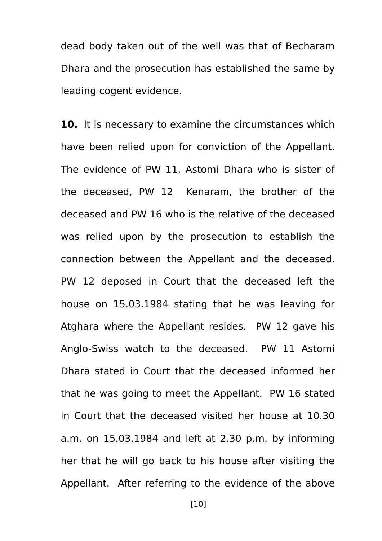dead body taken out of the well was that of Becharam Dhara and the prosecution has established the same by leading cogent evidence.

**10.** It is necessary to examine the circumstances which have been relied upon for conviction of the Appellant. The evidence of PW 11, Astomi Dhara who is sister of the deceased, PW 12 Kenaram, the brother of the deceased and PW 16 who is the relative of the deceased was relied upon by the prosecution to establish the connection between the Appellant and the deceased. PW 12 deposed in Court that the deceased left the house on 15.03.1984 stating that he was leaving for Atghara where the Appellant resides. PW 12 gave his Anglo-Swiss watch to the deceased. PW 11 Astomi Dhara stated in Court that the deceased informed her that he was going to meet the Appellant. PW 16 stated in Court that the deceased visited her house at 10.30 a.m. on 15.03.1984 and left at 2.30 p.m. by informing her that he will go back to his house after visiting the Appellant. After referring to the evidence of the above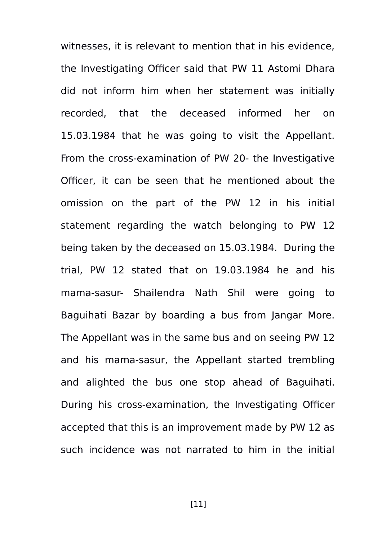witnesses, it is relevant to mention that in his evidence, the Investigating Officer said that PW 11 Astomi Dhara did not inform him when her statement was initially recorded, that the deceased informed her on 15.03.1984 that he was going to visit the Appellant. From the cross-examination of PW 20- the Investigative Officer, it can be seen that he mentioned about the omission on the part of the PW 12 in his initial statement regarding the watch belonging to PW 12 being taken by the deceased on 15.03.1984. During the trial, PW 12 stated that on 19.03.1984 he and his mama-sasur- Shailendra Nath Shil were going to Baguihati Bazar by boarding a bus from Jangar More. The Appellant was in the same bus and on seeing PW 12 and his mama-sasur, the Appellant started trembling and alighted the bus one stop ahead of Baguihati. During his cross-examination, the Investigating Officer accepted that this is an improvement made by PW 12 as such incidence was not narrated to him in the initial

[11]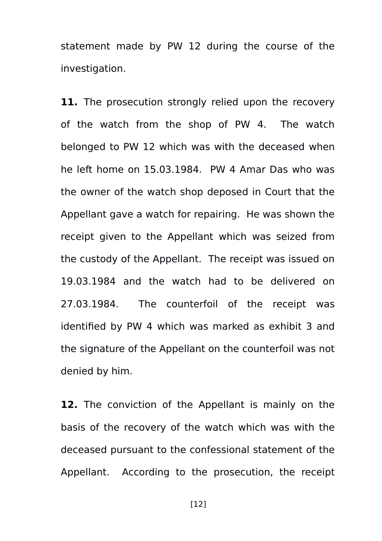statement made by PW 12 during the course of the investigation.

**11.** The prosecution strongly relied upon the recovery of the watch from the shop of PW 4. The watch belonged to PW 12 which was with the deceased when he left home on 15.03.1984. PW 4 Amar Das who was the owner of the watch shop deposed in Court that the Appellant gave a watch for repairing. He was shown the receipt given to the Appellant which was seized from the custody of the Appellant. The receipt was issued on 19.03.1984 and the watch had to be delivered on 27.03.1984. The counterfoil of the receipt was identified by PW 4 which was marked as exhibit 3 and the signature of the Appellant on the counterfoil was not denied by him.

**12.** The conviction of the Appellant is mainly on the basis of the recovery of the watch which was with the deceased pursuant to the confessional statement of the Appellant. According to the prosecution, the receipt

[12]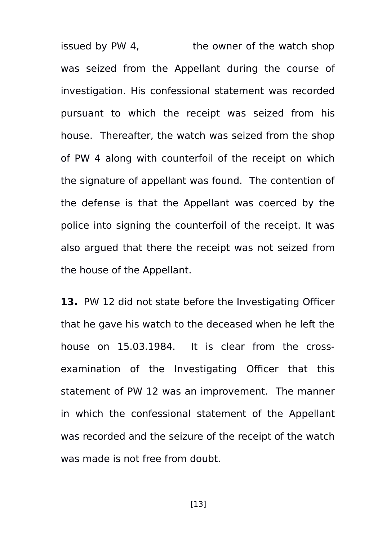issued by PW 4, the owner of the watch shop was seized from the Appellant during the course of investigation. His confessional statement was recorded pursuant to which the receipt was seized from his house. Thereafter, the watch was seized from the shop of PW 4 along with counterfoil of the receipt on which the signature of appellant was found. The contention of the defense is that the Appellant was coerced by the police into signing the counterfoil of the receipt. It was also argued that there the receipt was not seized from the house of the Appellant.

**13.** PW 12 did not state before the Investigating Officer that he gave his watch to the deceased when he left the house on 15.03.1984. It is clear from the crossexamination of the Investigating Officer that this statement of PW 12 was an improvement. The manner in which the confessional statement of the Appellant was recorded and the seizure of the receipt of the watch was made is not free from doubt.

[13]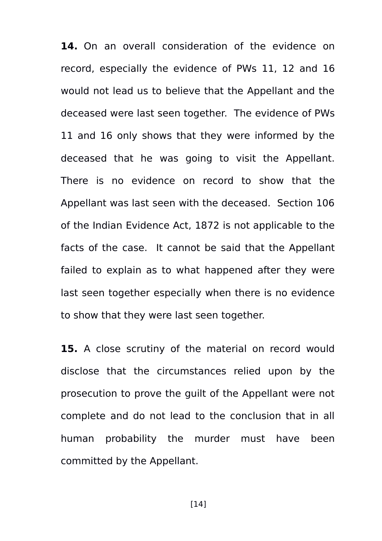**14.** On an overall consideration of the evidence on record, especially the evidence of PWs 11, 12 and 16 would not lead us to believe that the Appellant and the deceased were last seen together. The evidence of PWs 11 and 16 only shows that they were informed by the deceased that he was going to visit the Appellant. There is no evidence on record to show that the Appellant was last seen with the deceased. Section 106 of the Indian Evidence Act, 1872 is not applicable to the facts of the case. It cannot be said that the Appellant failed to explain as to what happened after they were last seen together especially when there is no evidence to show that they were last seen together.

**15.** A close scrutiny of the material on record would disclose that the circumstances relied upon by the prosecution to prove the guilt of the Appellant were not complete and do not lead to the conclusion that in all human probability the murder must have been committed by the Appellant.

[14]